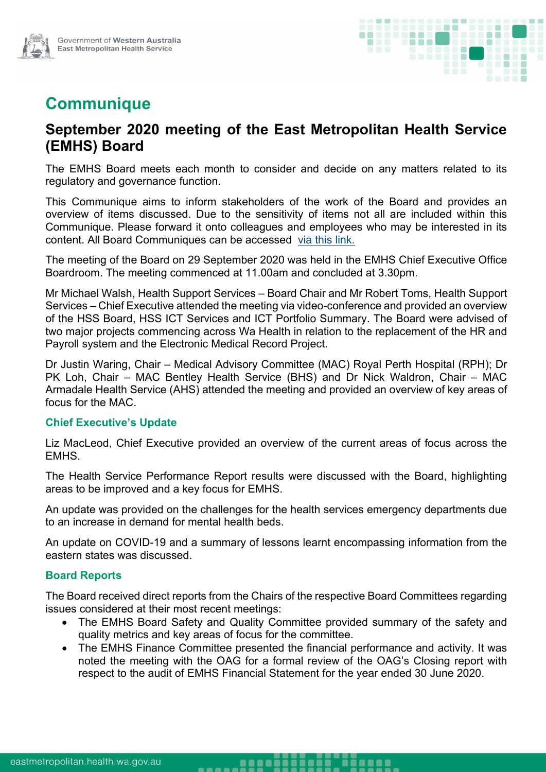

# **Communique**

## **September 2020 meeting of the East Metropolitan Health Service (EMHS) Board**

The EMHS Board meets each month to consider and decide on any matters related to its regulatory and governance function.

This Communique aims to inform stakeholders of the work of the Board and provides an overview of items discussed. Due to the sensitivity of items not all are included within this Communique. Please forward it onto colleagues and employees who may be interested in its content. All Board Communiques can be accessed [via this link.](https://emhs.health.wa.gov.au/About-Us/Health-Service-Board)

The meeting of the Board on 29 September 2020 was held in the EMHS Chief Executive Office Boardroom. The meeting commenced at 11.00am and concluded at 3.30pm.

Mr Michael Walsh, Health Support Services – Board Chair and Mr Robert Toms, Health Support Services – Chief Executive attended the meeting via video-conference and provided an overview of the HSS Board, HSS ICT Services and ICT Portfolio Summary. The Board were advised of two major projects commencing across Wa Health in relation to the replacement of the HR and Payroll system and the Electronic Medical Record Project.

Dr Justin Waring, Chair – Medical Advisory Committee (MAC) Royal Perth Hospital (RPH); Dr PK Loh, Chair – MAC Bentley Health Service (BHS) and Dr Nick Waldron, Chair – MAC Armadale Health Service (AHS) attended the meeting and provided an overview of key areas of focus for the MAC.

#### **Chief Executive's Update**

Liz MacLeod, Chief Executive provided an overview of the current areas of focus across the EMHS.

The Health Service Performance Report results were discussed with the Board, highlighting areas to be improved and a key focus for EMHS.

An update was provided on the challenges for the health services emergency departments due to an increase in demand for mental health beds.

An update on COVID-19 and a summary of lessons learnt encompassing information from the eastern states was discussed.

#### **Board Reports**

The Board received direct reports from the Chairs of the respective Board Committees regarding issues considered at their most recent meetings:

- The EMHS Board Safety and Quality Committee provided summary of the safety and quality metrics and key areas of focus for the committee.
- The EMHS Finance Committee presented the financial performance and activity. It was noted the meeting with the OAG for a formal review of the OAG's Closing report with respect to the audit of EMHS Financial Statement for the year ended 30 June 2020.

.......

-----